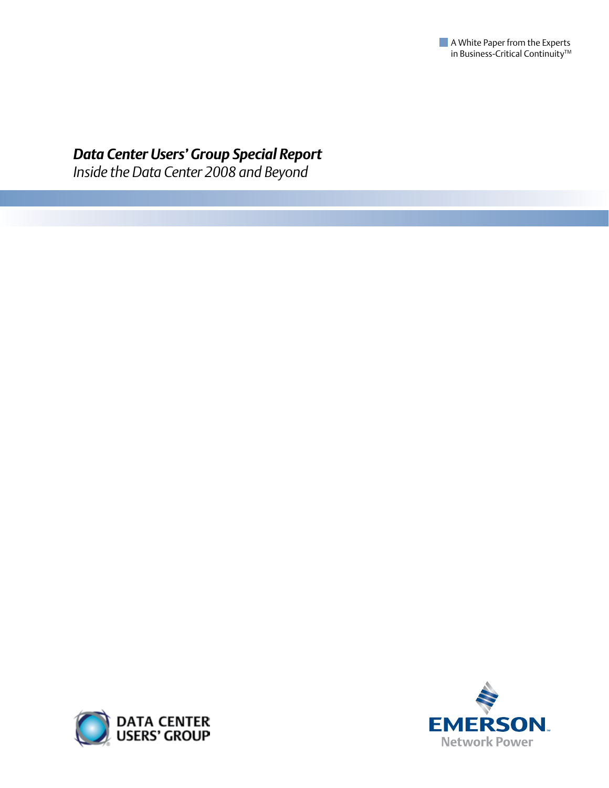

# *Data Center Users' Group Special Report*

*Inside the Data Center 2008 and Beyond*



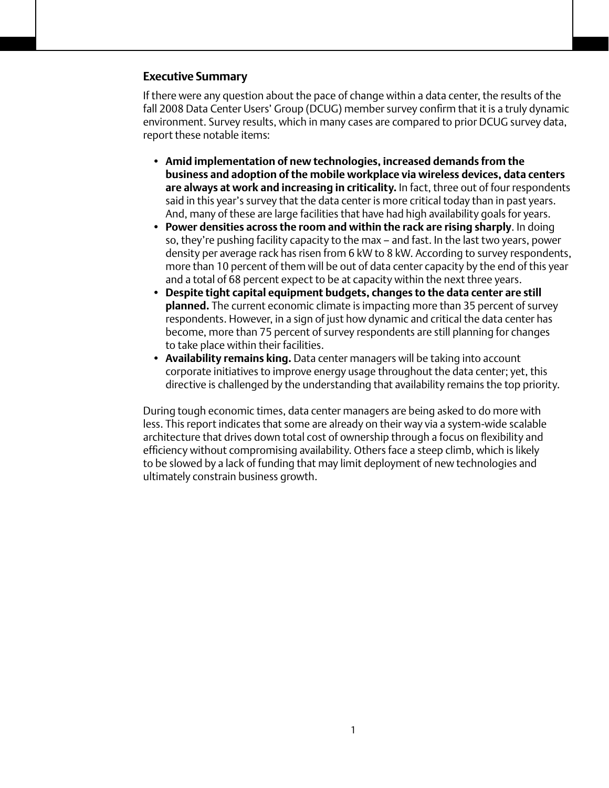# **Executive Summary**

If there were any question about the pace of change within a data center, the results of the fall 2008 Data Center Users' Group (DCUG) member survey confirm that it is a truly dynamic environment. Survey results, which in many cases are compared to prior DCUG survey data, report these notable items:

- **• Amid implementation of new technologies, increased demands from the business and adoption of the mobile workplace via wireless devices, data centers are always at work and increasing in criticality.** In fact, three out of four respondents said in this year's survey that the data center is more critical today than in past years. And, many of these are large facilities that have had high availability goals for years.
- **• Power densities across the room and within the rack are rising sharply**. In doing so, they're pushing facility capacity to the max – and fast. In the last two years, power density per average rack has risen from 6 kW to 8 kW. According to survey respondents, more than 10 percent of them will be out of data center capacity by the end of this year and a total of 68 percent expect to be at capacity within the next three years.
- **Despite tight capital equipment budgets, changes to the data center are still planned.** The current economic climate is impacting more than 35 percent of survey respondents. However, in a sign of just how dynamic and critical the data center has become, more than 75 percent of survey respondents are still planning for changes to take place within their facilities.
- **Availability remains king.** Data center managers will be taking into account corporate initiatives to improve energy usage throughout the data center; yet, this directive is challenged by the understanding that availability remains the top priority.

During tough economic times, data center managers are being asked to do more with less. This report indicates that some are already on their way via a system-wide scalable architecture that drives down total cost of ownership through a focus on flexibility and efficiency without compromising availability. Others face a steep climb, which is likely to be slowed by a lack of funding that may limit deployment of new technologies and ultimately constrain business growth.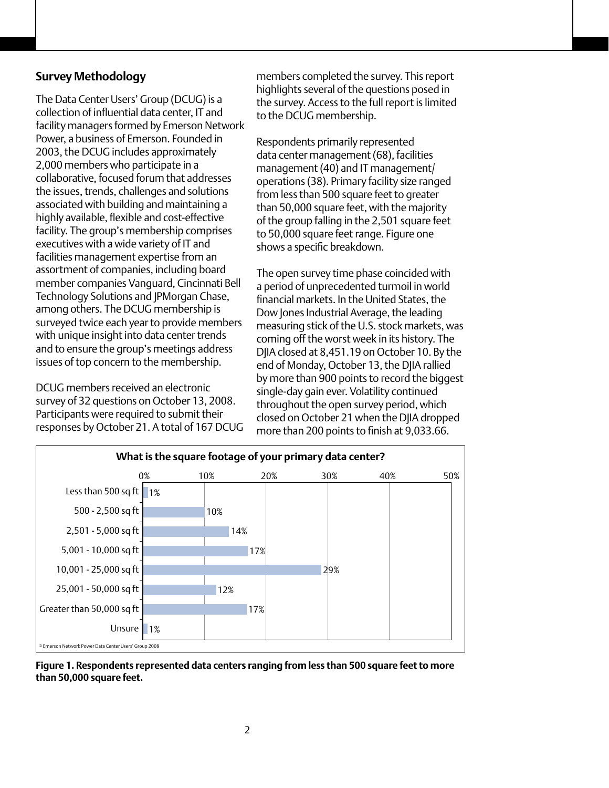# **Survey Methodology**

The Data Center Users' Group (DCUG) is a collection of influential data center, IT and facility managers formed by Emerson Network Power, a business of Emerson. Founded in 2003, the DCUG includes approximately 2,000 members who participate in a collaborative, focused forum that addresses the issues, trends, challenges and solutions associated with building and maintaining a highly available, flexible and cost-effective facility. The group's membership comprises executives with a wide variety of IT and facilities management expertise from an assortment of companies, including board member companies Vanguard, Cincinnati Bell Technology Solutions and JPMorgan Chase, among others. The DCUG membership is surveyed twice each year to provide members with unique insight into data center trends and to ensure the group's meetings address issues of top concern to the membership.

DCUG members received an electronic survey of 32 questions on October 13, 2008. Participants were required to submit their responses by October 21. A total of 167 DCUG

members completed the survey. This report highlights several of the questions posed in the survey. Access to the full report is limited to the DCUG membership.

Respondents primarily represented data center management (68), facilities management (40) and IT management/ operations (38). Primary facility size ranged from less than 500 square feet to greater than 50,000 square feet, with the majority of the group falling in the 2,501 square feet to 50,000 square feet range. Figure one shows a specific breakdown.

The open survey time phase coincided with a period of unprecedented turmoil in world financial markets. In the United States, the Dow Jones Industrial Average, the leading measuring stick of the U.S. stock markets, was coming off the worst week in its history. The DJIA closed at 8,451.19 on October 10. By the end of Monday, October 13, the DJIA rallied by more than 900 points to record the biggest single-day gain ever. Volatility continued throughout the open survey period, which closed on October 21 when the DJIA dropped more than 200 points to finish at 9,033.66.



**Figure 1. Respondents represented data centers ranging from less than 500 square feet to more than 50,000 square feet.**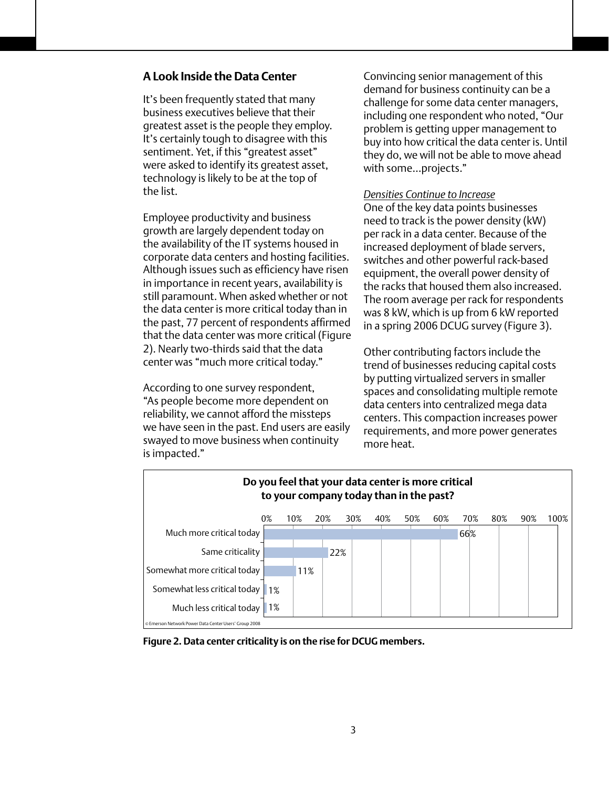# **A Look Inside the Data Center**

It's been frequently stated that many business executives believe that their greatest asset is the people they employ. It's certainly tough to disagree with this sentiment. Yet, if this "greatest asset" were asked to identify its greatest asset, technology is likely to be at the top of the list.

Employee productivity and business growth are largely dependent today on the availability of the IT systems housed in corporate data centers and hosting facilities. Although issues such as efficiency have risen in importance in recent years, availability is still paramount. When asked whether or not the data center is more critical today than in the past, 77 percent of respondents affirmed that the data center was more critical (Figure 2). Nearly two-thirds said that the data center was "much more critical today."

According to one survey respondent, "As people become more dependent on reliability, we cannot afford the missteps we have seen in the past. End users are easily swayed to move business when continuity is impacted."

Convincing senior management of this demand for business continuity can be a challenge for some data center managers, including one respondent who noted, "Our problem is getting upper management to buy into how critical the data center is. Until they do, we will not be able to move ahead with some…projects."

#### *Densities Continue to Increase*

One of the key data points businesses need to track is the power density (kW) per rack in a data center. Because of the increased deployment of blade servers, switches and other powerful rack-based equipment, the overall power density of the racks that housed them also increased. The room average per rack for respondents was 8 kW, which is up from 6 kW reported in a spring 2006 DCUG survey (Figure 3).

Other contributing factors include the trend of businesses reducing capital costs by putting virtualized servers in smaller spaces and consolidating multiple remote data centers into centralized mega data centers. This compaction increases power requirements, and more power generates more heat.



**Figure 2. Data center criticality is on the rise for DCUG members.**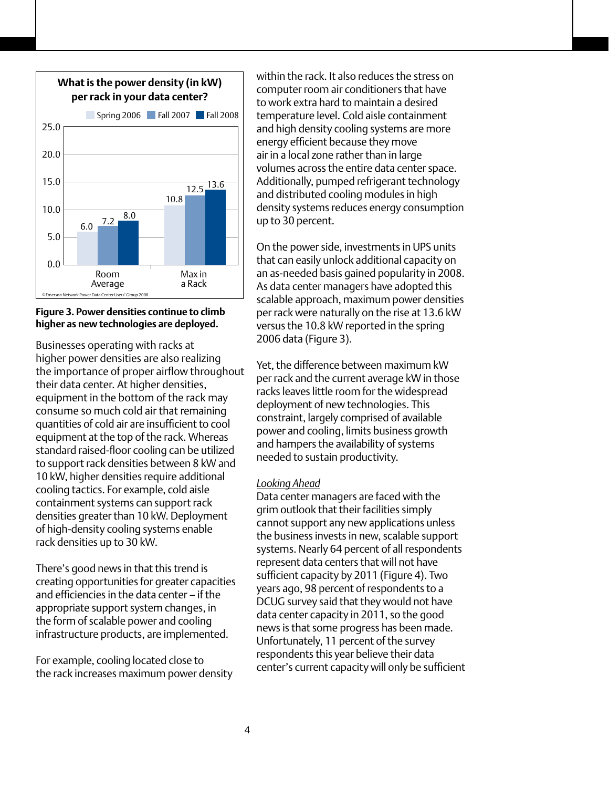

#### **Figure 3. Power densities continue to climb higher as new technologies are deployed.**

Businesses operating with racks at higher power densities are also realizing the importance of proper airflow throughout their data center. At higher densities, equipment in the bottom of the rack may consume so much cold air that remaining quantities of cold air are insufficient to cool equipment at the top of the rack. Whereas standard raised-floor cooling can be utilized to support rack densities between 8 kW and 10 kW, higher densities require additional cooling tactics. For example, cold aisle containment systems can support rack densities greater than 10 kW. Deployment of high-density cooling systems enable rack densities up to 30 kW.

There's good news in that this trend is creating opportunities for greater capacities and efficiencies in the data center – if the appropriate support system changes, in the form of scalable power and cooling infrastructure products, are implemented.

For example, cooling located close to the rack increases maximum power density within the rack. It also reduces the stress on computer room air conditioners that have to work extra hard to maintain a desired temperature level. Cold aisle containment and high density cooling systems are more energy efficient because they move air in a local zone rather than in large volumes across the entire data center space. Additionally, pumped refrigerant technology and distributed cooling modules in high density systems reduces energy consumption up to 30 percent.

On the power side, investments in UPS units that can easily unlock additional capacity on an as-needed basis gained popularity in 2008. As data center managers have adopted this scalable approach, maximum power densities per rack were naturally on the rise at 13.6 kW versus the 10.8 kW reported in the spring 2006 data (Figure 3).

Yet, the difference between maximum kW per rack and the current average kW in those racks leaves little room for the widespread deployment of new technologies. This constraint, largely comprised of available power and cooling, limits business growth and hampers the availability of systems needed to sustain productivity.

# *Looking Ahead*

Data center managers are faced with the grim outlook that their facilities simply cannot support any new applications unless the business invests in new, scalable support systems. Nearly 64 percent of all respondents represent data centers that will not have sufficient capacity by 2011 (Figure 4). Two years ago, 98 percent of respondents to a DCUG survey said that they would not have data center capacity in 2011, so the good news is that some progress has been made. Unfortunately, 11 percent of the survey respondents this year believe their data center's current capacity will only be sufficient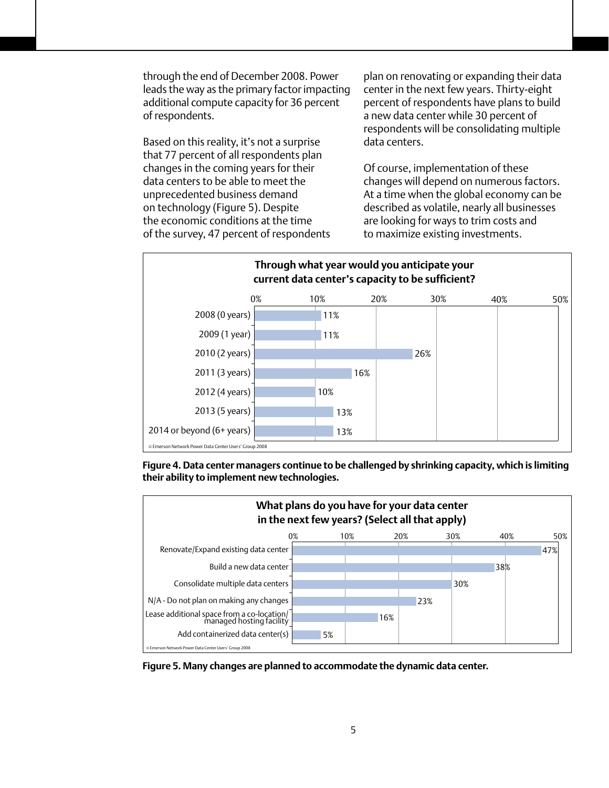through the end of December 2008. Power leads the way as the primary factor impacting additional compute capacity for 36 percent of respondents.

Based on this reality, it's not a surprise that 77 percent of all respondents plan changes in the coming years for their data centers to be able to meet the unprecedented business demand on technology (Figure 5). Despite the economic conditions at the time of the survey, 47 percent of respondents plan on renovating or expanding their data center in the next few years. Thirty-eight percent of respondents have plans to build a new data center while 30 percent of respondents will be consolidating multiple data centers.

Of course, implementation of these changes will depend on numerous factors. At a time when the global economy can be described as volatile, nearly all businesses are looking for ways to trim costs and to maximize existing investments.



**Figure 4. Data center managers continue to be challenged by shrinking capacity, which is limiting their ability to implement new technologies.**



**Figure 5. Many changes are planned to accommodate the dynamic data center.**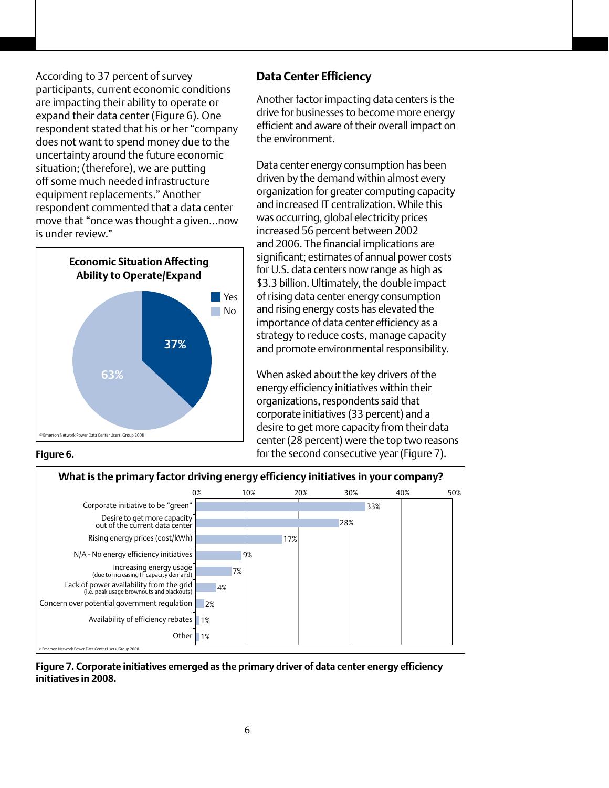According to 37 percent of survey participants, current economic conditions are impacting their ability to operate or expand their data center (Figure 6). One respondent stated that his or her "company does not want to spend money due to the uncertainty around the future economic situation; (therefore), we are putting off some much needed infrastructure equipment replacements." Another respondent commented that a data center move that "once was thought a given…now is under review."



# **Data Center Efficiency**

Another factor impacting data centers is the drive for businesses to become more energy efficient and aware of their overall impact on the environment.

Data center energy consumption has been driven by the demand within almost every organization for greater computing capacity and increased IT centralization. While this was occurring, global electricity prices increased 56 percent between 2002 and 2006. The financial implications are significant; estimates of annual power costs for U.S. data centers now range as high as \$3.3 billion. Ultimately, the double impact of rising data center energy consumption and rising energy costs has elevated the importance of data center efficiency as a strategy to reduce costs, manage capacity and promote environmental responsibility.

When asked about the key drivers of the energy efficiency initiatives within their organizations, respondents said that corporate initiatives (33 percent) and a desire to get more capacity from their data center (28 percent) were the top two reasons for the second consecutive year (Figure 7).





**Figure 7. Corporate initiatives emerged as the primary driver of data center energy efficiency initiatives in 2008.**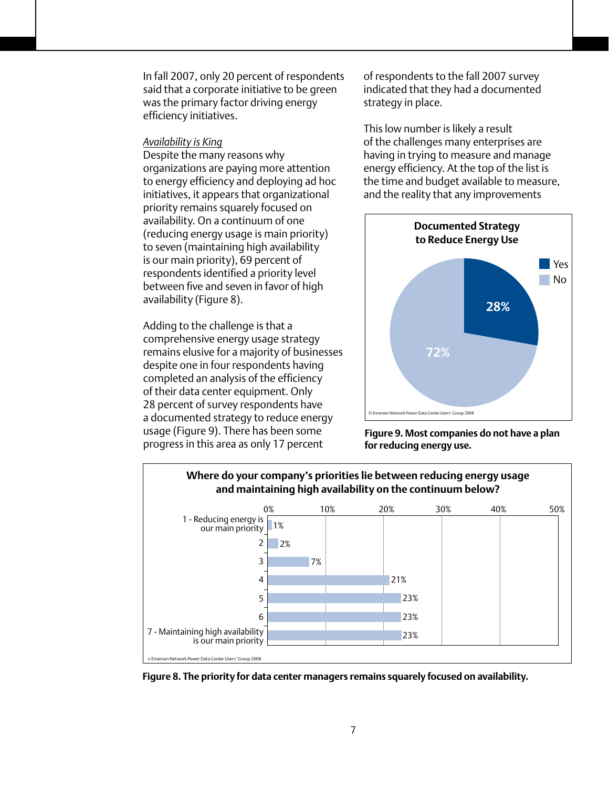In fall 2007, only 20 percent of respondents said that a corporate initiative to be green was the primary factor driving energy efficiency initiatives.

#### *Availability is King*

Despite the many reasons why organizations are paying more attention to energy efficiency and deploying ad hoc initiatives, it appears that organizational priority remains squarely focused on availability. On a continuum of one (reducing energy usage is main priority) to seven (maintaining high availability is our main priority), 69 percent of respondents identified a priority level between five and seven in favor of high availability (Figure 8).

Adding to the challenge is that a comprehensive energy usage strategy remains elusive for a majority of businesses despite one in four respondents having completed an analysis of the efficiency of their data center equipment. Only 28 percent of survey respondents have a documented strategy to reduce energy usage (Figure 9). There has been some progress in this area as only 17 percent

of respondents to the fall 2007 survey indicated that they had a documented strategy in place.

This low number is likely a result of the challenges many enterprises are having in trying to measure and manage energy efficiency. At the top of the list is the time and budget available to measure, and the reality that any improvements



**Figure 9. Most companies do not have a plan for reducing energy use.** 



**Figure 8. The priority for data center managers remains squarely focused on availability.**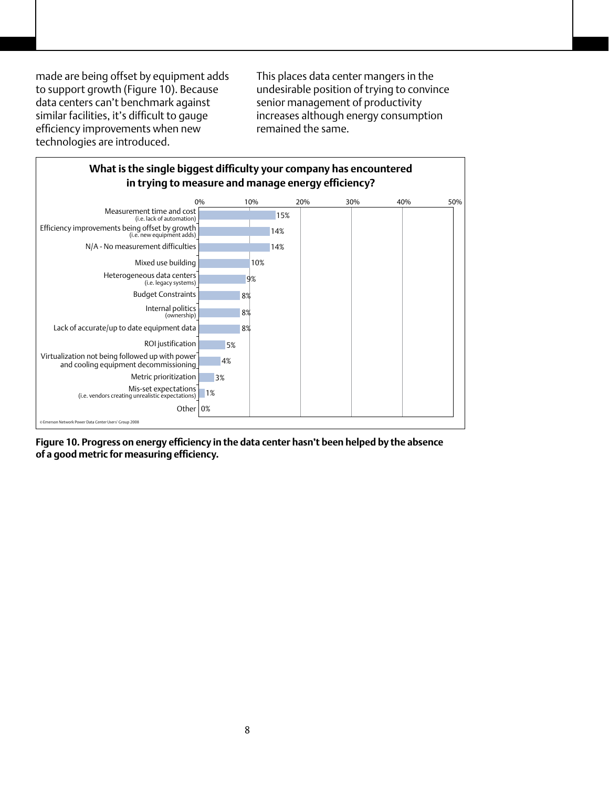made are being offset by equipment adds to support growth (Figure 10). Because data centers can't benchmark against similar facilities, it's difficult to gauge efficiency improvements when new technologies are introduced.

This places data center mangers in the undesirable position of trying to convince senior management of productivity increases although energy consumption remained the same.



**Figure 10. Progress on energy efficiency in the data center hasn't been helped by the absence of a good metric for measuring efficiency.**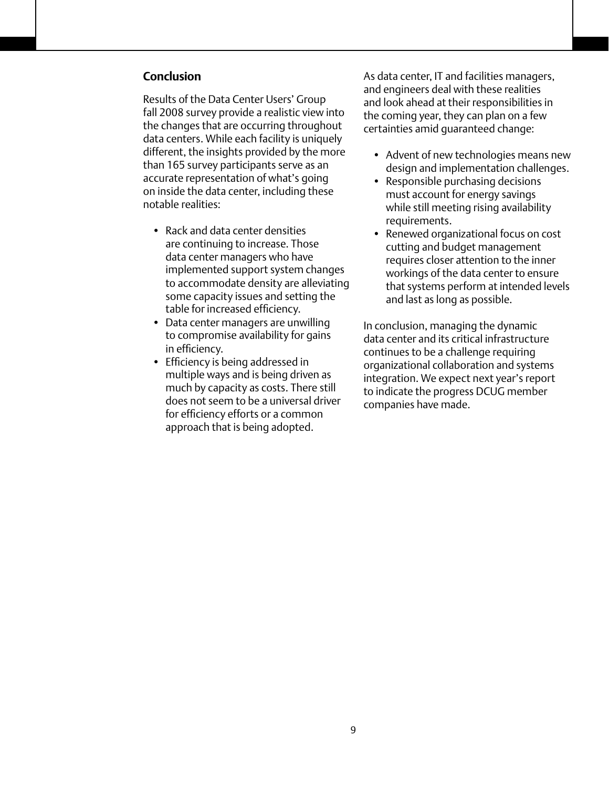# **Conclusion**

Results of the Data Center Users' Group fall 2008 survey provide a realistic view into the changes that are occurring throughout data centers. While each facility is uniquely different, the insights provided by the more than 165 survey participants serve as an accurate representation of what's going on inside the data center, including these notable realities:

- Rack and data center densities are continuing to increase. Those data center managers who have implemented support system changes to accommodate density are alleviating some capacity issues and setting the table for increased efficiency.
- Data center managers are unwilling to compromise availability for gains in efficiency.
- Efficiency is being addressed in multiple ways and is being driven as much by capacity as costs. There still does not seem to be a universal driver for efficiency efforts or a common approach that is being adopted.

As data center, IT and facilities managers, and engineers deal with these realities and look ahead at their responsibilities in the coming year, they can plan on a few certainties amid guaranteed change:

- Advent of new technologies means new design and implementation challenges.
- Responsible purchasing decisions must account for energy savings while still meeting rising availability requirements.
- Renewed organizational focus on cost cutting and budget management requires closer attention to the inner workings of the data center to ensure that systems perform at intended levels and last as long as possible.

In conclusion, managing the dynamic data center and its critical infrastructure continues to be a challenge requiring organizational collaboration and systems integration. We expect next year's report to indicate the progress DCUG member companies have made.